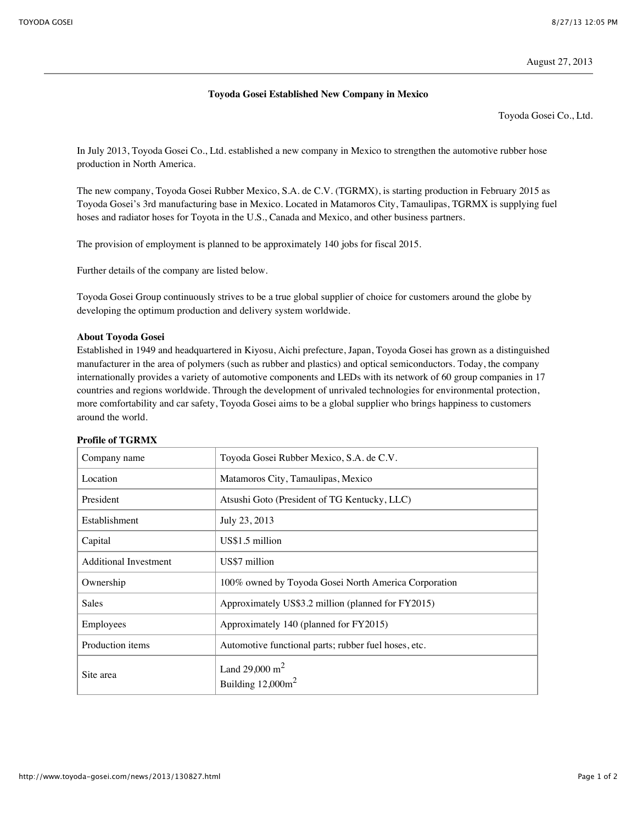## **Toyoda Gosei Established New Company in Mexico**

Toyoda Gosei Co., Ltd.

In July 2013, Toyoda Gosei Co., Ltd. established a new company in Mexico to strengthen the automotive rubber hose production in North America.

The new company, Toyoda Gosei Rubber Mexico, S.A. de C.V. (TGRMX), is starting production in February 2015 as Toyoda Gosei's 3rd manufacturing base in Mexico. Located in Matamoros City, Tamaulipas, TGRMX is supplying fuel hoses and radiator hoses for Toyota in the U.S., Canada and Mexico, and other business partners.

The provision of employment is planned to be approximately 140 jobs for fiscal 2015.

Further details of the company are listed below.

Toyoda Gosei Group continuously strives to be a true global supplier of choice for customers around the globe by developing the optimum production and delivery system worldwide.

## **About Toyoda Gosei**

Established in 1949 and headquartered in Kiyosu, Aichi prefecture, Japan, Toyoda Gosei has grown as a distinguished manufacturer in the area of polymers (such as rubber and plastics) and optical semiconductors. Today, the company internationally provides a variety of automotive components and LEDs with its network of 60 group companies in 17 countries and regions worldwide. Through the development of unrivaled technologies for environmental protection, more comfortability and car safety, Toyoda Gosei aims to be a global supplier who brings happiness to customers around the world.

| Company name                 | Toyoda Gosei Rubber Mexico, S.A. de C.V.             |
|------------------------------|------------------------------------------------------|
| Location                     | Matamoros City, Tamaulipas, Mexico                   |
| President                    | Atsushi Goto (President of TG Kentucky, LLC)         |
| Establishment                | July 23, 2013                                        |
| Capital                      | US\$1.5 million                                      |
| <b>Additional Investment</b> | US\$7 million                                        |
| Ownership                    | 100% owned by Toyoda Gosei North America Corporation |
| Sales                        | Approximately US\$3.2 million (planned for FY2015)   |
| Employees                    | Approximately 140 (planned for FY2015)               |
| Production items             | Automotive functional parts; rubber fuel hoses, etc. |
| Site area                    | Land 29,000 $m^2$<br>Building $12,000m^2$            |

## **Profile of TGRMX**